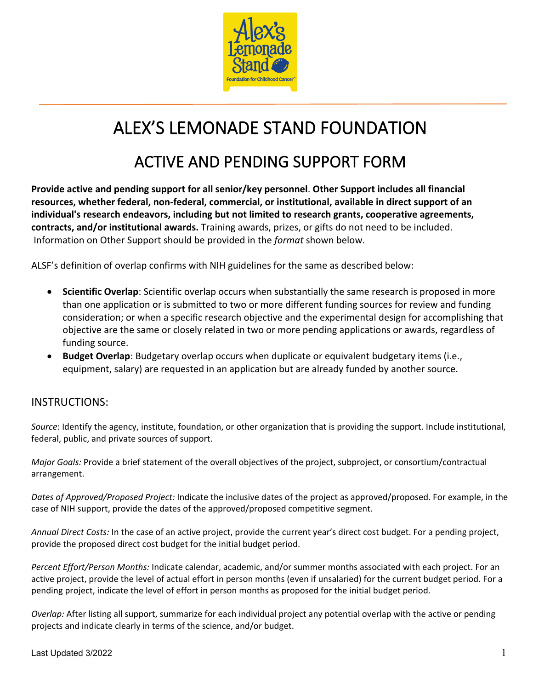

## ALEX'S LEMONADE STAND FOUNDATION

## ACTIVE AND PENDING SUPPORT FORM

**Provide active and pending support for all senior/key personnel**. **Other Support includes all financial resources, whether federal, non-federal, commercial, or institutional, available in direct support of an individual's research endeavors, including but not limited to research grants, cooperative agreements, contracts, and/or institutional awards.** Training awards, prizes, or gifts do not need to be included. Information on Other Support should be provided in the *format* shown below.

ALSF's definition of overlap confirms with NIH guidelines for the same as described below:

- **Scientific Overlap**: Scientific overlap occurs when substantially the same research is proposed in more than one application or is submitted to two or more different funding sources for review and funding consideration; or when a specific research objective and the experimental design for accomplishing that objective are the same or closely related in two or more pending applications or awards, regardless of funding source.
- **Budget Overlap**: Budgetary overlap occurs when duplicate or equivalent budgetary items (i.e., equipment, salary) are requested in an application but are already funded by another source.

## INSTRUCTIONS:

*Source*: Identify the agency, institute, foundation, or other organization that is providing the support. Include institutional, federal, public, and private sources of support.

*Major Goals:* Provide a brief statement of the overall objectives of the project, subproject, or consortium/contractual arrangement.

*Dates of Approved/Proposed Project:* Indicate the inclusive dates of the project as approved/proposed. For example, in the case of NIH support, provide the dates of the approved/proposed competitive segment.

*Annual Direct Costs:* In the case of an active project, provide the current year's direct cost budget. For a pending project, provide the proposed direct cost budget for the initial budget period.

*Percent Effort/Person Months:* Indicate calendar, academic, and/or summer months associated with each project. For an active project, provide the level of actual effort in person months (even if unsalaried) for the current budget period. For a pending project, indicate the level of effort in person months as proposed for the initial budget period.

*Overlap:* After listing all support, summarize for each individual project any potential overlap with the active or pending projects and indicate clearly in terms of the science, and/or budget.